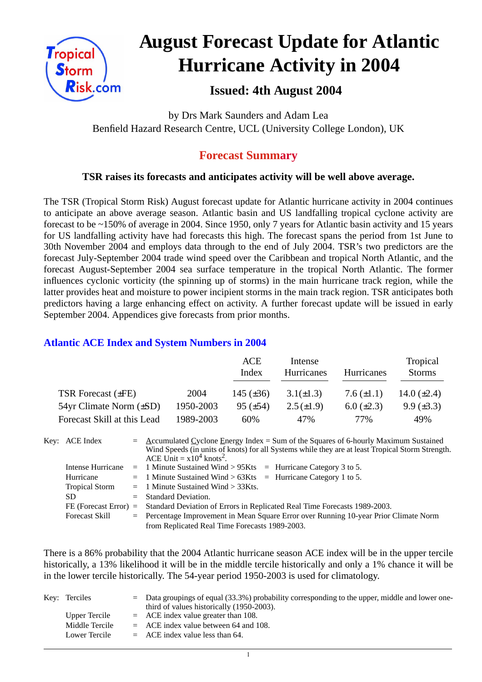

# **August Forecast Update for Atlantic Hurricane Activity in 2004**

## **Issued: 4th August 2004**

by Drs Mark Saunders and Adam Lea Benfield Hazard Research Centre, UCL (University College London), UK

### **Forecast Summary**

#### **TSR raises its forecasts and anticipates activity will be well above average.**

The TSR (Tropical Storm Risk) August forecast update for Atlantic hurricane activity in 2004 continues to anticipate an above average season. Atlantic basin and US landfalling tropical cyclone activity are forecast to be ~150% of average in 2004. Since 1950, only 7 years for Atlantic basin activity and 15 years for US landfalling activity have had forecasts this high. The forecast spans the period from 1st June to 30th November 2004 and employs data through to the end of July 2004. TSR's two predictors are the forecast July-September 2004 trade wind speed over the Caribbean and tropical North Atlantic, and the forecast August-September 2004 sea surface temperature in the tropical North Atlantic. The former influences cyclonic vorticity (the spinning up of storms) in the main hurricane track region, while the latter provides heat and moisture to power incipient storms in the main track region. TSR anticipates both predictors having a large enhancing effect on activity. A further forecast update will be issued in early September 2004. Appendices give forecasts from prior months.

#### **Atlantic ACE Index and System Numbers in 2004**

|                                |           | ACE<br>Index    | Intense<br>Hurricanes | Hurricanes        | Tropical<br><b>Storms</b> |
|--------------------------------|-----------|-----------------|-----------------------|-------------------|---------------------------|
| TSR Forecast $(\pm FE)$        | 2004      | 145 $(\pm 36)$  | $3.1(\pm 1.3)$        | 7.6 $(\pm 1.1)$   | 14.0 $(\pm 2.4)$          |
| $54yr$ Climate Norm $(\pm SD)$ | 1950-2003 | $95 \ (\pm 54)$ | $2.5(\pm 1.9)$        | $6.0 \ (\pm 2.3)$ | $9.9 \ (\pm 3.3)$         |
| Forecast Skill at this Lead    | 1989-2003 | 60%             | 47%                   | 77%               | 49%                       |

| Key: ACE Index        | $=$ Accumulated Cyclone Energy Index = Sum of the Squares of 6-hourly Maximum Sustained<br>Wind Speeds (in units of knots) for all Systems while they are at least Tropical Storm Strength.<br>ACE Unit = $x10^4$ knots <sup>2</sup> . |
|-----------------------|----------------------------------------------------------------------------------------------------------------------------------------------------------------------------------------------------------------------------------------|
| Intense Hurricane     | $=$ 1 Minute Sustained Wind > 95Kts $=$ Hurricane Category 3 to 5.                                                                                                                                                                     |
| Hurricane             | $=$ 1 Minute Sustained Wind > 63Kts $=$ Hurricane Category 1 to 5.                                                                                                                                                                     |
| <b>Tropical Storm</b> | $=$ 1 Minute Sustained Wind $>$ 33Kts.                                                                                                                                                                                                 |
| SD.                   | $=$ Standard Deviation.                                                                                                                                                                                                                |
|                       | FE (Forecast Error) = Standard Deviation of Errors in Replicated Real Time Forecasts 1989-2003.                                                                                                                                        |
| <b>Forecast Skill</b> | $=$ Percentage Improvement in Mean Square Error over Running 10-year Prior Climate Norm                                                                                                                                                |
|                       | from Replicated Real Time Forecasts 1989-2003.                                                                                                                                                                                         |

There is a 86% probability that the 2004 Atlantic hurricane season ACE index will be in the upper tercile historically, a 13% likelihood it will be in the middle tercile historically and only a 1% chance it will be in the lower tercile historically. The 54-year period 1950-2003 is used for climatology.

| Key: Terciles  | $=$ Data groupings of equal (33.3%) probability corresponding to the upper, middle and lower one-<br>third of values historically (1950-2003). |
|----------------|------------------------------------------------------------------------------------------------------------------------------------------------|
| Upper Tercile  | $=$ ACE index value greater than 108.                                                                                                          |
| Middle Tercile | $=$ ACE index value between 64 and 108.                                                                                                        |
| Lower Tercile  | $=$ ACE index value less than 64.                                                                                                              |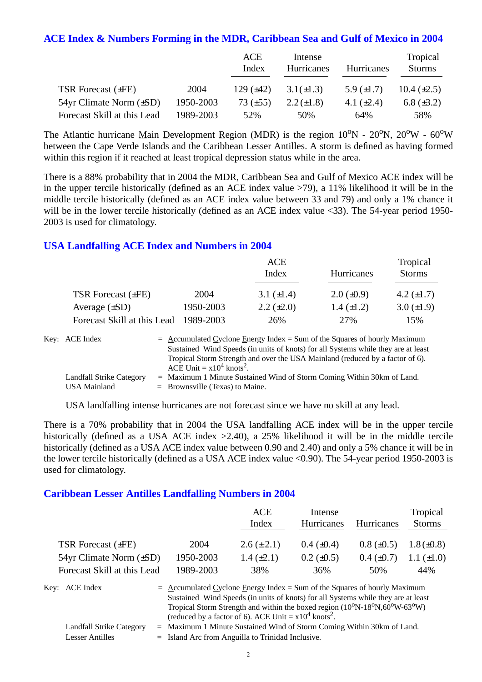#### **ACE Index & Numbers Forming in the MDR, Caribbean Sea and Gulf of Mexico in 2004**

|                                |           | ACE<br>Index   | Intense<br><b>Hurricanes</b> | <b>Hurricanes</b> | Tropical<br><b>Storms</b> |
|--------------------------------|-----------|----------------|------------------------------|-------------------|---------------------------|
| <b>TSR Forecast (±FE)</b>      | 2004      | 129 $(\pm 42)$ | $3.1(\pm 1.3)$               | 5.9 $(\pm 1.7)$   | 10.4 $(\pm 2.5)$          |
| $54yr$ Climate Norm $(\pm SD)$ | 1950-2003 | 73 $(\pm 55)$  | $2.2 (\pm 1.8)$              | 4.1 $(\pm 2.4)$   | 6.8 $(\pm 3.2)$           |
| Forecast Skill at this Lead    | 1989-2003 | 52%            | 50%                          | 64%               | 58%                       |

The Atlantic hurricane Main Development Region (MDR) is the region  $10^{\circ}N - 20^{\circ}N$ ,  $20^{\circ}W - 60^{\circ}W$ between the Cape Verde Islands and the Caribbean Lesser Antilles. A storm is defined as having formed within this region if it reached at least tropical depression status while in the area.

There is a 88% probability that in 2004 the MDR, Caribbean Sea and Gulf of Mexico ACE index will be in the upper tercile historically (defined as an ACE index value >79), a 11% likelihood it will be in the middle tercile historically (defined as an ACE index value between 33 and 79) and only a 1% chance it will be in the lower tercile historically (defined as an ACE index value <33). The 54-year period 1950-2003 is used for climatology.

#### **USA Landfalling ACE Index and Numbers in 2004**

|                             |           | ACE<br>Index      | Hurricanes        | Tropical<br><b>Storms</b> |
|-----------------------------|-----------|-------------------|-------------------|---------------------------|
| TSR Forecast $(\pm FE)$     | 2004      | 3.1 $(\pm 1.4)$   | $2.0 \ (\pm 0.9)$ | 4.2 $(\pm 1.7)$           |
| Average $(\pm SD)$          | 1950-2003 | $2.2 \ (\pm 2.0)$ | $1.4 \ (\pm 1.2)$ | $3.0 (\pm 1.9)$           |
| Forecast Skill at this Lead | 1989-2003 | 26%               | 27%               | 15%                       |

| Key: ACE Index                  | $=$ Accumulated Cyclone Energy Index $=$ Sum of the Squares of hourly Maximum                                            |
|---------------------------------|--------------------------------------------------------------------------------------------------------------------------|
|                                 | Sustained Wind Speeds (in units of knots) for all Systems while they are at least                                        |
|                                 | Tropical Storm Strength and over the USA Mainland (reduced by a factor of 6).<br>ACE Unit = $x10^4$ knots <sup>2</sup> . |
| <b>Landfall Strike Category</b> | $=$ Maximum 1 Minute Sustained Wind of Storm Coming Within 30km of Land.                                                 |
| USA Mainland                    | $=$ Brownsville (Texas) to Maine.                                                                                        |

USA landfalling intense hurricanes are not forecast since we have no skill at any lead.

There is a 70% probability that in 2004 the USA landfalling ACE index will be in the upper tercile historically (defined as a USA ACE index  $>2.40$ ), a 25% likelihood it will be in the middle tercile historically (defined as a USA ACE index value between 0.90 and 2.40) and only a 5% chance it will be in the lower tercile historically (defined as a USA ACE index value <0.90). The 54-year period 1950-2003 is used for climatology.

#### **Caribbean Lesser Antilles Landfalling Numbers in 2004**

|                                 |                                                                                                                                                                                                                                                                                                                                                    | <b>ACE</b><br>Index                                                  | Intense<br>Hurricanes | <b>Hurricanes</b> | Tropical<br><b>Storms</b> |
|---------------------------------|----------------------------------------------------------------------------------------------------------------------------------------------------------------------------------------------------------------------------------------------------------------------------------------------------------------------------------------------------|----------------------------------------------------------------------|-----------------------|-------------------|---------------------------|
| <b>TSR Forecast (±FE)</b>       | 2004                                                                                                                                                                                                                                                                                                                                               | $2.6 (\pm 2.1)$                                                      | $0.4~(\pm 0.4)$       | $0.8 (\pm 0.5)$   | $1.8 (\pm 0.8)$           |
| $54yr$ Climate Norm $(\pm SD)$  | 1950-2003                                                                                                                                                                                                                                                                                                                                          | 1.4 $(\pm 2.1)$                                                      | $0.2 \ (\pm 0.5)$     | $0.4~(\pm 0.7)$   | 1.1 $(\pm 1.0)$           |
| Forecast Skill at this Lead     | 1989-2003                                                                                                                                                                                                                                                                                                                                          | 38%                                                                  | 36%                   | 50%               | 44%                       |
| Key: ACE Index                  | $=$ Accumulated Cyclone Energy Index = Sum of the Squares of hourly Maximum<br>Sustained Wind Speeds (in units of knots) for all Systems while they are at least<br>Tropical Storm Strength and within the boxed region $(10^{\circ}N-18^{\circ}N,60^{\circ}W-63^{\circ}W)$<br>(reduced by a factor of 6). ACE Unit = $x10^4$ knots <sup>2</sup> . |                                                                      |                       |                   |                           |
| Landfall Strike Category<br>$=$ |                                                                                                                                                                                                                                                                                                                                                    | Maximum 1 Minute Sustained Wind of Storm Coming Within 30km of Land. |                       |                   |                           |

Lesser Antilles = Island Arc from Anguilla to Trinidad Inclusive.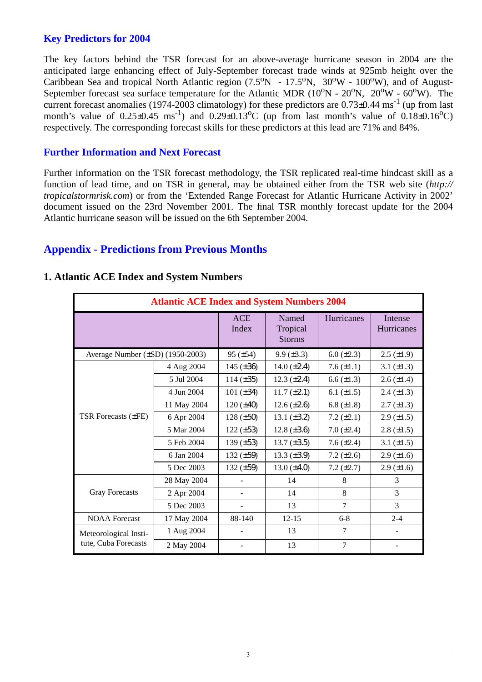#### **Key Predictors for 2004**

The key factors behind the TSR forecast for an above-average hurricane season in 2004 are the anticipated large enhancing effect of July-September forecast trade winds at 925mb height over the Caribbean Sea and tropical North Atlantic region  $(7.5^{\circ}N - 17.5^{\circ}N, 30^{\circ}W - 100^{\circ}W)$ , and of August-September forecast sea surface temperature for the Atlantic MDR  $(10^{\circ}N - 20^{\circ}N, 20^{\circ}W - 60^{\circ}W)$ . The current forecast anomalies (1974-2003 climatology) for these predictors are  $0.73\pm0.44$  ms<sup>-1</sup> (up from last month's value of  $0.25\pm0.45$  ms<sup>-1</sup>) and  $0.29\pm0.13^{\circ}$ C (up from last month's value of  $0.18\pm0.16^{\circ}$ C) respectively. The corresponding forecast skills for these predictors at this lead are 71% and 84%.

#### **Further Information and Next Forecast**

Further information on the TSR forecast methodology, the TSR replicated real-time hindcast skill as a function of lead time, and on TSR in general, may be obtained either from the TSR web site (*http:// tropicalstormrisk.com*) or from the 'Extended Range Forecast for Atlantic Hurricane Activity in 2002' document issued on the 23rd November 2001. The final TSR monthly forecast update for the 2004 Atlantic hurricane season will be issued on the 6th September 2004.

#### **Appendix - Predictions from Previous Months**

| <b>Atlantic ACE Index and System Numbers 2004</b> |             |                     |                                    |                 |                       |  |  |
|---------------------------------------------------|-------------|---------------------|------------------------------------|-----------------|-----------------------|--|--|
|                                                   |             | <b>ACE</b><br>Index | Named<br>Tropical<br><b>Storms</b> | Hurricanes      | Intense<br>Hurricanes |  |  |
| Average Number $(\pm SD)$ (1950-2003)             |             | $95 (\pm 54)$       | $9.9 \ (\pm 3.3)$                  | 6.0 $(\pm 2.3)$ | $2.5 \ (\pm 1.9)$     |  |  |
|                                                   | 4 Aug 2004  | 145 $(\pm 36)$      | 14.0 $(\pm 2.4)$                   | 7.6 $(\pm 1.1)$ | 3.1 $(\pm 1.3)$       |  |  |
|                                                   | 5 Jul 2004  | $114 (\pm 35)$      | $12.3 \ (\pm 2.4)$                 | 6.6 $(\pm 1.3)$ | $2.6 (\pm 1.4)$       |  |  |
|                                                   | 4 Jun 2004  | 101 $(\pm 34)$      | $11.7 (\pm 2.1)$                   | 6.1 $(\pm 1.5)$ | $2.4 \ (\pm 1.3)$     |  |  |
|                                                   | 11 May 2004 | $120 (\pm 40)$      | $12.6 \, (\pm 2.6)$                | 6.8 $(\pm 1.8)$ | $2.7 \ (\pm 1.3)$     |  |  |
| TSR Forecasts (±FE)                               | 6 Apr 2004  | $128 (\pm 50)$      | 13.1 $(\pm 3.2)$                   | 7.2 $(\pm 2.1)$ | $2.9 \ (\pm 1.5)$     |  |  |
|                                                   | 5 Mar 2004  | $122 (\pm 53)$      | 12.8 $(\pm 3.6)$                   | $7.0 (\pm 2.4)$ | $2.8 (\pm 1.5)$       |  |  |
|                                                   | 5 Feb 2004  | 139 $(\pm 53)$      | 13.7 $(\pm 3.5)$                   | 7.6 $(\pm 2.4)$ | 3.1 $(\pm 1.5)$       |  |  |
|                                                   | 6 Jan 2004  | 132 $(\pm 59)$      | 13.3 $(\pm 3.9)$                   | 7.2 $(\pm 2.6)$ | $2.9 \ (\pm 1.6)$     |  |  |
|                                                   | 5 Dec 2003  | 132 $(\pm 59)$      | $13.0 (\pm 4.0)$                   | 7.2 $(\pm 2.7)$ | $2.9 \ (\pm 1.6)$     |  |  |
|                                                   | 28 May 2004 |                     | 14                                 | 8               | 3                     |  |  |
| <b>Gray Forecasts</b>                             | 2 Apr 2004  |                     | 14                                 | 8               | 3                     |  |  |
|                                                   | 5 Dec 2003  |                     | 13                                 | 7               | 3                     |  |  |
| <b>NOAA</b> Forecast                              | 17 May 2004 | 88-140              | $12 - 15$                          | $6 - 8$         | $2 - 4$               |  |  |
| Meteorological Insti-                             | 1 Aug 2004  |                     | 13                                 | 7               |                       |  |  |
| tute, Cuba Forecasts                              | 2 May 2004  |                     | 13                                 | 7               |                       |  |  |

#### **1. Atlantic ACE Index and System Numbers**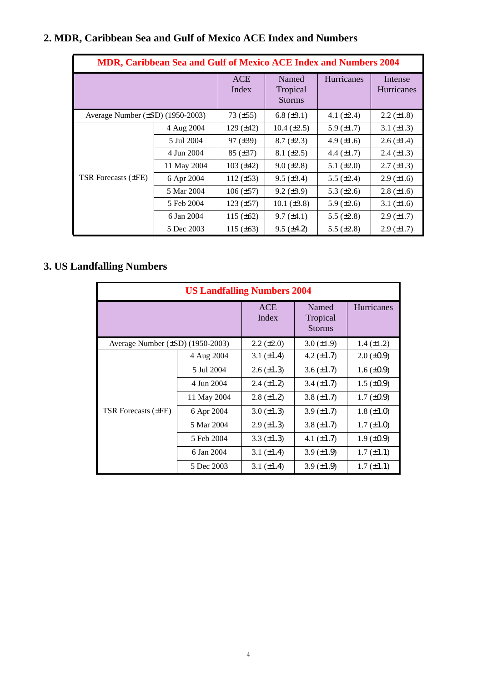# **2. MDR, Caribbean Sea and Gulf of Mexico ACE Index and Numbers**

| <b>MDR, Caribbean Sea and Gulf of Mexico ACE Index and Numbers 2004</b> |                     |                                    |                    |                              |                   |  |  |
|-------------------------------------------------------------------------|---------------------|------------------------------------|--------------------|------------------------------|-------------------|--|--|
|                                                                         | <b>ACE</b><br>Index | Named<br>Tropical<br><b>Storms</b> | <b>Hurricanes</b>  | Intense<br><b>Hurricanes</b> |                   |  |  |
| Average Number $(\pm SD)$ (1950-2003)                                   |                     | $73 (\pm 55)$                      | 6.8 $(\pm 3.1)$    | 4.1 $(\pm 2.4)$              | $2.2 \ (\pm 1.8)$ |  |  |
|                                                                         | 4 Aug 2004          | 129 $(\pm 42)$                     | $10.4 \ (\pm 2.5)$ | 5.9 $(\pm 1.7)$              | 3.1 $(\pm 1.3)$   |  |  |
|                                                                         | 5 Jul 2004          | $97 (\pm 39)$                      | $8.7 \ (\pm 2.3)$  | 4.9 $(\pm 1.6)$              | $2.6 \ (\pm 1.4)$ |  |  |
|                                                                         | 4 Jun 2004          | $85 (\pm 37)$                      | $8.1 (\pm 2.5)$    | 4.4 $(\pm 1.7)$              | $2.4 \ (\pm 1.3)$ |  |  |
|                                                                         | 11 May 2004         | 103 $(\pm 42)$                     | $9.0 \ (\pm 2.8)$  | 5.1 $(\pm 2.0)$              | $2.7 \ (\pm 1.3)$ |  |  |
| TSR Forecasts (±FE)                                                     | 6 Apr 2004          | $112 (\pm 53)$                     | $9.5 \ (\pm 3.4)$  | 5.5 $(\pm 2.4)$              | $2.9 \ (\pm 1.6)$ |  |  |
|                                                                         | 5 Mar 2004          | $106 (\pm 57)$                     | $9.2 (\pm 3.9)$    | 5.3 $(\pm 2.6)$              | $2.8 (\pm 1.6)$   |  |  |
|                                                                         | 5 Feb 2004          | $123 (\pm 57)$                     | 10.1 $(\pm 3.8)$   | 5.9 $(\pm 2.6)$              | 3.1 $(\pm 1.6)$   |  |  |
|                                                                         | 6 Jan 2004          | 115 $(\pm 62)$                     | $9.7 (\pm 4.1)$    | 5.5 $(\pm 2.8)$              | $2.9 \ (\pm 1.7)$ |  |  |
|                                                                         | 5 Dec 2003          | 115 $(\pm 63)$                     | $9.5 \ (\pm 4.2)$  | 5.5 $(\pm 2.8)$              | $2.9 \ (\pm 1.7)$ |  |  |

# **3. US Landfalling Numbers**

| <b>US Landfalling Numbers 2004</b>    |                     |                                    |                    |                   |  |  |  |
|---------------------------------------|---------------------|------------------------------------|--------------------|-------------------|--|--|--|
|                                       | <b>ACE</b><br>Index | Named<br>Tropical<br><b>Storms</b> | Hurricanes         |                   |  |  |  |
| Average Number $(\pm SD)$ (1950-2003) |                     | $2.2 \ (\pm 2.0)$                  | $3.0 \ (\pm 1.9)$  | $1.4 (\pm 1.2)$   |  |  |  |
|                                       | 4 Aug 2004          | 3.1 $(\pm 1.4)$                    | 4.2 $(\pm 1.7)$    | $2.0 \ (\pm 0.9)$ |  |  |  |
|                                       | 5 Jul 2004          | $2.6 \ (\pm 1.3)$                  | $3.6 \, (\pm 1.7)$ | $1.6 \ (\pm 0.9)$ |  |  |  |
|                                       | 4 Jun 2004          | $2.4 \ (\pm 1.2)$                  | $3.4 \ (\pm 1.7)$  | $1.5 \ (\pm 0.9)$ |  |  |  |
|                                       | 11 May 2004         | $2.8 \ (\pm 1.2)$                  | $3.8 \ (\pm 1.7)$  | $1.7 \ (\pm 0.9)$ |  |  |  |
| <b>TSR Forecasts (±FE)</b>            | 6 Apr 2004          | $3.0 \ (\pm 1.3)$                  | $3.9 \ (\pm 1.7)$  | $1.8 (\pm 1.0)$   |  |  |  |
|                                       | 5 Mar 2004          | $2.9 \ (\pm 1.3)$                  | 3.8 $(\pm 1.7)$    | $1.7 (\pm 1.0)$   |  |  |  |
|                                       | 5 Feb 2004          | $3.3 \ (\pm 1.3)$                  | 4.1 $(\pm 1.7)$    | $1.9 \ (\pm 0.9)$ |  |  |  |
|                                       | 6 Jan 2004          | 3.1 $(\pm 1.4)$                    | $3.9 \ (\pm 1.9)$  | $1.7 (\pm 1.1)$   |  |  |  |
|                                       | 5 Dec 2003          | 3.1 $(\pm 1.4)$                    | $3.9 \ (\pm 1.9)$  | $1.7 (\pm 1.1)$   |  |  |  |